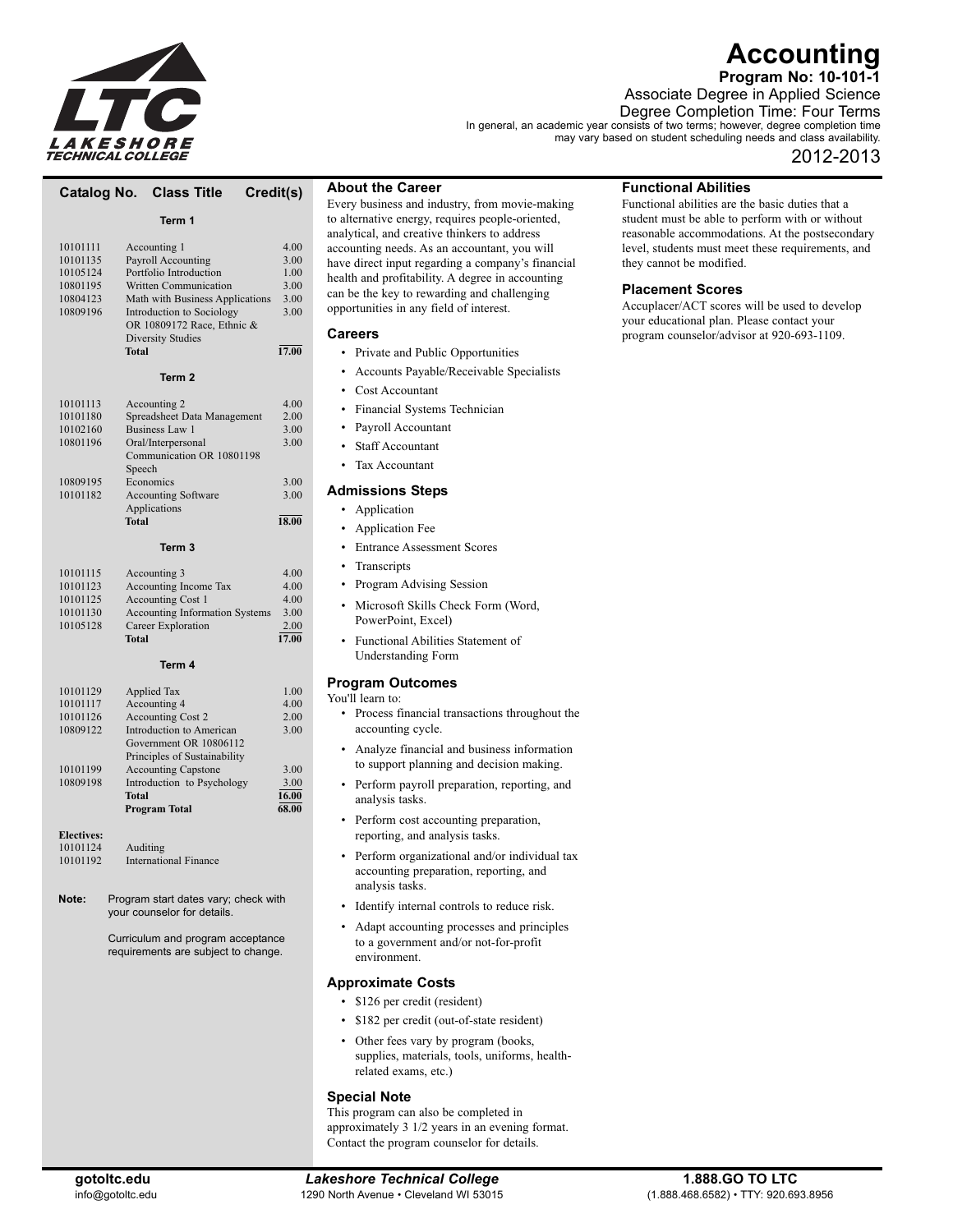

# **Accounting**

**Program No: 10-101-1**

Associate Degree in Applied Science

Degree Completion Time: Four Terms In general, an academic year consists of two terms; however, degree completion time

may vary based on student scheduling needs and class availability.

# 2012-2013

# **Catalog No. Class Title Credit(s)**

# **Term 1**

| Accounting 1                    | 4.00  |
|---------------------------------|-------|
| Payroll Accounting              | 3.00  |
| Portfolio Introduction          | 1.00  |
| <b>Written Communication</b>    | 3.00  |
| Math with Business Applications | 3.00  |
| Introduction to Sociology       | 3.00  |
| OR 10809172 Race, Ethnic &      |       |
| <b>Diversity Studies</b>        |       |
| <b>Total</b>                    | 17.00 |
| Term <sub>2</sub>               |       |
| Accounting 2                    | 4.00  |
| Spreadsheet Data Management     | 2.00  |
| <b>Business Law 1</b>           | 3.00  |
| Oral/Interpersonal              | 3.00  |
| Communication OR 10801198       |       |
| Speech                          |       |
| Economics                       | 3.00  |
| <b>Accounting Software</b>      | 3.00  |
| Applications                    |       |
| <b>Total</b>                    | 18.00 |
| Term 3                          |       |
| Accounting 3                    | 4.00  |
| Accounting Income Tax           | 4.00  |
| <b>Accounting Cost 1</b>        | 4.00  |
|                                 |       |

#### **Term 4**

10101130 Accounting Information Systems 3.00<br>10105128 Career Exploration 2.00

1010512.00 Career Exploration 2.00 **Total** 17.00

|          | <b>Program Total</b>         | 68.00 |
|----------|------------------------------|-------|
|          | <b>Total</b>                 | 16.00 |
| 10809198 | Introduction to Psychology   | 3.00  |
| 10101199 | <b>Accounting Capstone</b>   | 3.00  |
|          | Principles of Sustainability |       |
|          | Government OR 10806112       |       |
| 10809122 | Introduction to American     | 3.00  |
| 10101126 | <b>Accounting Cost 2</b>     | 2.00  |
| 10101117 | Accounting 4                 | 4.00  |
| 10101129 | <b>Applied Tax</b>           | 1.00  |

**Electives:**<br>10101124 10101124 Auditing<br>10101192 Internation International Finance

**Note:** Program start dates vary; check with your counselor for details.

> Curriculum and program acceptance requirements are subject to change.

# **About the Career**

Every business and industry, from movie-making to alternative energy, requires people-oriented, analytical, and creative thinkers to address accounting needs. As an accountant, you will have direct input regarding a company's financial health and profitability. A degree in accounting can be the key to rewarding and challenging opportunities in any field of interest.

### **Careers**

- Private and Public Opportunities
- Accounts Payable/Receivable Specialists
- Cost Accountant
- Financial Systems Technician
- Payroll Accountant
- Staff Accountant
- Tax Accountant

### **Admissions Steps**

- Application
- Application Fee
- Entrance Assessment Scores
- **Transcripts**
- Program Advising Session
- Microsoft Skills Check Form (Word, PowerPoint, Excel)
- Functional Abilities Statement of Understanding Form

# **Program Outcomes**

You'll learn to:

- Process financial transactions throughout the accounting cycle.
- Analyze financial and business information to support planning and decision making.
- Perform payroll preparation, reporting, and analysis tasks.
- Perform cost accounting preparation, reporting, and analysis tasks.
- Perform organizational and/or individual tax accounting preparation, reporting, and analysis tasks.
- Identify internal controls to reduce risk.
- Adapt accounting processes and principles to a government and/or not-for-profit environment.

# **Approximate Costs**

- \$126 per credit (resident)
- \$182 per credit (out-of-state resident)
- Other fees vary by program (books, supplies, materials, tools, uniforms, healthrelated exams, etc.)

# **Special Note**

This program can also be completed in approximately 3 1/2 years in an evening format. Contact the program counselor for details.

# **Functional Abilities**

Functional abilities are the basic duties that a student must be able to perform with or without reasonable accommodations. At the postsecondary level, students must meet these requirements, and they cannot be modified.

# **Placement Scores**

Accuplacer/ACT scores will be used to develop your educational plan. Please contact your program counselor/advisor at 920-693-1109.